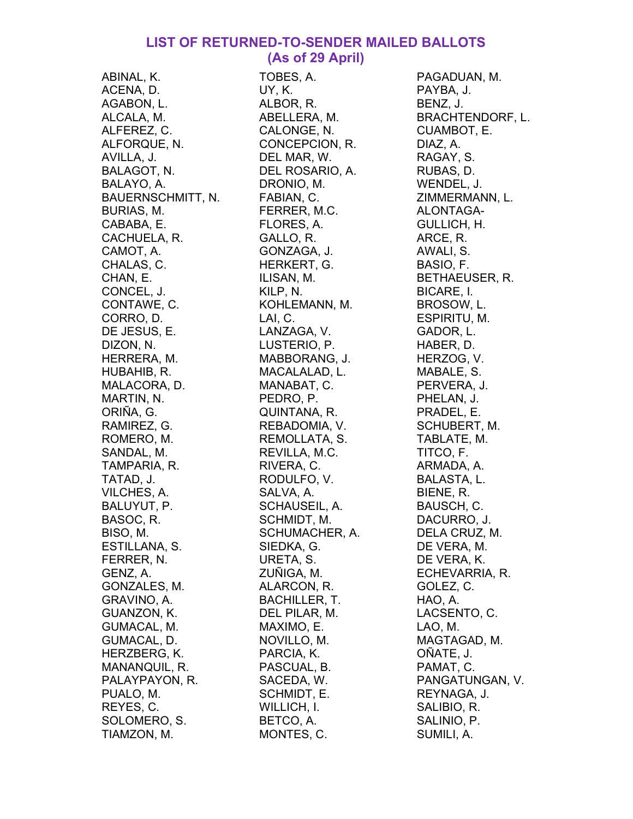## LIST OF RETURNED-TO-SENDER MAILED BALLOTS (As of 29 April)

ABINAL, K. ACENA, D. AGABON, L. ALCALA, M. ALFEREZ, C. ALFORQUE, N. AVILLA, J. BALAGOT, N. BALAYO, A. BAUERNSCHMITT, N. BURIAS, M. CABABA, E. CACHUELA, R. CAMOT, A. CHALAS, C. CHAN, E. CONCEL, J. CONTAWE, C. CORRO, D. DE JESUS, E. DIZON, N. HERRERA, M. HUBAHIB, R. MALACORA, D. MARTIN, N. ORIÑA, G. RAMIREZ, G. ROMERO, M. SANDAL, M. TAMPARIA, R. TATAD, J. VILCHES, A. BALUYUT, P. BASOC, R. BISO, M. ESTILLANA, S. FERRER, N. GENZ, A. GONZALES, M. GRAVINO, A. GUANZON, K. GUMACAL, M. GUMACAL, D. HERZBERG, K. MANANQUIL, R. PALAYPAYON, R. PUALO, M. REYES, C. SOLOMERO, S. TIAMZON, M.

TOBES, A. UY, K. ALBOR, R. ABELLERA, M. CALONGE, N. CONCEPCION, R. DEL MAR, W. DEL ROSARIO, A. DRONIO, M. FABIAN, C. FERRER, M.C. FLORES, A. GALLO, R. GONZAGA, J. HERKERT, G. ILISAN, M. KILP, N. KOHLEMANN, M. LAI, C. LANZAGA, V. LUSTERIO, P. MABBORANG, J. MACALALAD, L. MANABAT, C. PEDRO, P. QUINTANA, R. REBADOMIA, V. REMOLLATA, S. REVILLA, M.C. RIVERA, C. RODULFO, V. SALVA, A. SCHAUSEIL, A. SCHMIDT, M. SCHUMACHER, A. SIEDKA, G. URETA, S. ZUÑIGA, M. ALARCON, R. BACHILLER, T. DEL PILAR, M. MAXIMO, E. NOVILLO, M. PARCIA, K. PASCUAL, B. SACEDA, W. SCHMIDT, E. WILLICH, I. BETCO, A. MONTES, C.

PAGADUAN, M. PAYBA, J. BENZ, J. BRACHTENDORF, L. CUAMBOT, E. DIAZ, A. RAGAY, S. RUBAS, D. WENDEL, J. ZIMMERMANN, L. ALONTAGA-GULLICH, H. ARCE, R. AWALI, S. BASIO, F. BETHAEUSER, R. BICARE, I. BROSOW, L. ESPIRITU, M. GADOR, L. HABER, D. HERZOG, V. MABALE, S. PERVERA, J. PHELAN, J. PRADEL, E. SCHUBERT, M. TABLATE, M. TITCO, F. ARMADA, A. BALASTA, L. BIENE, R. BAUSCH, C. DACURRO, J. DELA CRUZ, M. DE VERA, M. DE VERA, K. ECHEVARRIA, R. GOLEZ, C. HAO, A. LACSENTO, C. LAO, M. MAGTAGAD, M. OÑATE, J. PAMAT, C. PANGATUNGAN, V. REYNAGA, J. SALIBIO, R. SALINIO, P. SUMILI, A.